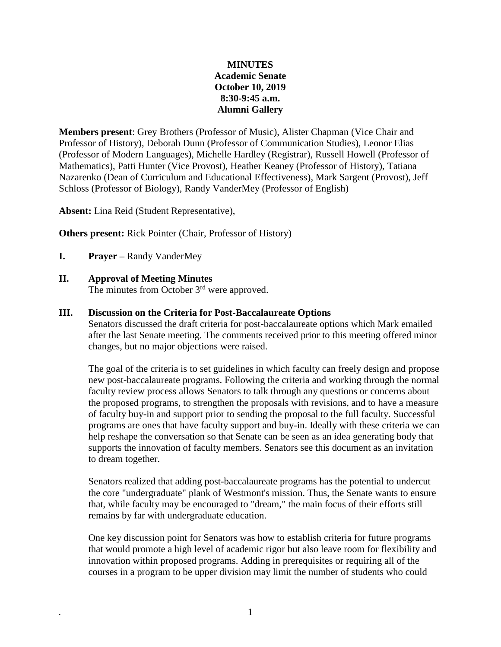## **MINUTES Academic Senate October 10, 2019 8:30-9:45 a.m. Alumni Gallery**

**Members present**: Grey Brothers (Professor of Music), Alister Chapman (Vice Chair and Professor of History), Deborah Dunn (Professor of Communication Studies), Leonor Elias (Professor of Modern Languages), Michelle Hardley (Registrar), Russell Howell (Professor of Mathematics), Patti Hunter (Vice Provost), Heather Keaney (Professor of History), Tatiana Nazarenko (Dean of Curriculum and Educational Effectiveness), Mark Sargent (Provost), Jeff Schloss (Professor of Biology), Randy VanderMey (Professor of English)

**Absent:** Lina Reid (Student Representative),

**Others present:** Rick Pointer (Chair, Professor of History)

- **I. Prayer –** Randy VanderMey
- **II. Approval of Meeting Minutes**

The minutes from October 3<sup>rd</sup> were approved.

## **III. Discussion on the Criteria for Post-Baccalaureate Options**

Senators discussed the draft criteria for post-baccalaureate options which Mark emailed after the last Senate meeting. The comments received prior to this meeting offered minor changes, but no major objections were raised.

The goal of the criteria is to set guidelines in which faculty can freely design and propose new post-baccalaureate programs. Following the criteria and working through the normal faculty review process allows Senators to talk through any questions or concerns about the proposed programs, to strengthen the proposals with revisions, and to have a measure of faculty buy-in and support prior to sending the proposal to the full faculty. Successful programs are ones that have faculty support and buy-in. Ideally with these criteria we can help reshape the conversation so that Senate can be seen as an idea generating body that supports the innovation of faculty members. Senators see this document as an invitation to dream together.

Senators realized that adding post-baccalaureate programs has the potential to undercut the core "undergraduate" plank of Westmont's mission. Thus, the Senate wants to ensure that, while faculty may be encouraged to "dream," the main focus of their efforts still remains by far with undergraduate education.

One key discussion point for Senators was how to establish criteria for future programs that would promote a high level of academic rigor but also leave room for flexibility and innovation within proposed programs. Adding in prerequisites or requiring all of the courses in a program to be upper division may limit the number of students who could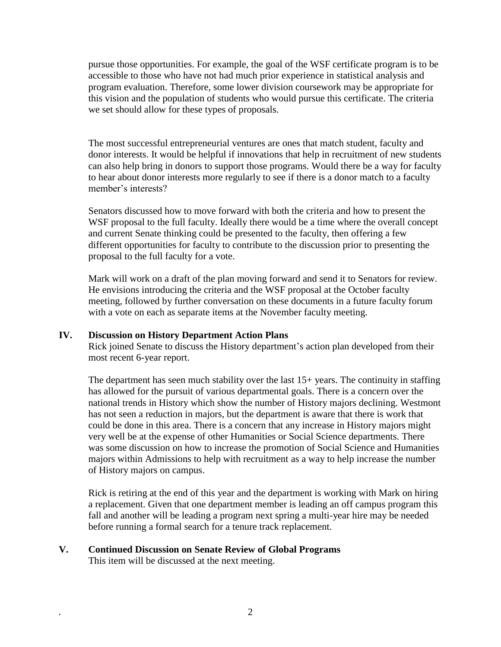pursue those opportunities. For example, the goal of the WSF certificate program is to be accessible to those who have not had much prior experience in statistical analysis and program evaluation. Therefore, some lower division coursework may be appropriate for this vision and the population of students who would pursue this certificate. The criteria we set should allow for these types of proposals.

The most successful entrepreneurial ventures are ones that match student, faculty and donor interests. It would be helpful if innovations that help in recruitment of new students can also help bring in donors to support those programs. Would there be a way for faculty to hear about donor interests more regularly to see if there is a donor match to a faculty member's interests?

Senators discussed how to move forward with both the criteria and how to present the WSF proposal to the full faculty. Ideally there would be a time where the overall concept and current Senate thinking could be presented to the faculty, then offering a few different opportunities for faculty to contribute to the discussion prior to presenting the proposal to the full faculty for a vote.

Mark will work on a draft of the plan moving forward and send it to Senators for review. He envisions introducing the criteria and the WSF proposal at the October faculty meeting, followed by further conversation on these documents in a future faculty forum with a vote on each as separate items at the November faculty meeting.

## **IV. Discussion on History Department Action Plans**

Rick joined Senate to discuss the History department's action plan developed from their most recent 6-year report.

The department has seen much stability over the last 15+ years. The continuity in staffing has allowed for the pursuit of various departmental goals. There is a concern over the national trends in History which show the number of History majors declining. Westmont has not seen a reduction in majors, but the department is aware that there is work that could be done in this area. There is a concern that any increase in History majors might very well be at the expense of other Humanities or Social Science departments. There was some discussion on how to increase the promotion of Social Science and Humanities majors within Admissions to help with recruitment as a way to help increase the number of History majors on campus.

Rick is retiring at the end of this year and the department is working with Mark on hiring a replacement. Given that one department member is leading an off campus program this fall and another will be leading a program next spring a multi-year hire may be needed before running a formal search for a tenure track replacement.

## **V. Continued Discussion on Senate Review of Global Programs**

This item will be discussed at the next meeting.